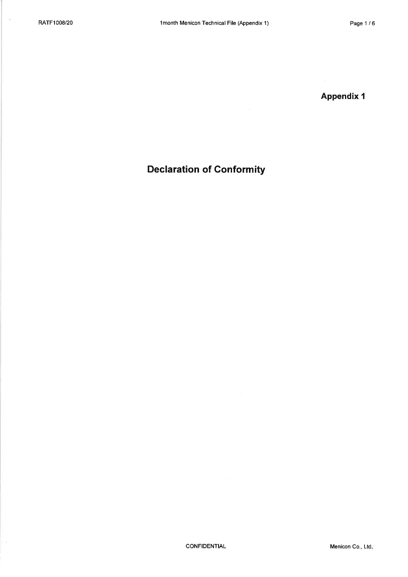$\bar{\nu}$ 

**Appendix 1** 

## **Declaration of Conformity**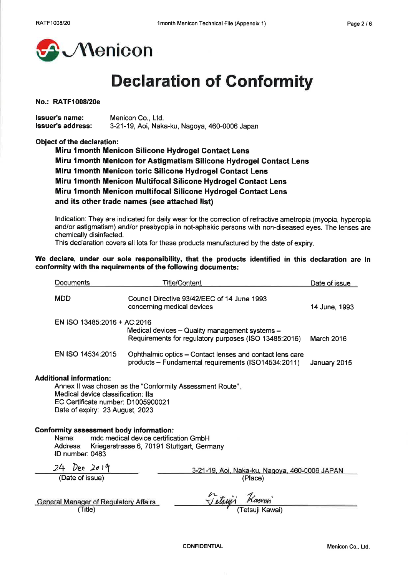

# **Declaration of Conformity**

### No.: RATF1008/20e

**Issuer's name:** Menicon Co., Ltd. **Issuer's address:** 3-21-19, Aoi, Naka-ku, Nagoya, 460-0006 Japan

### Object of the declaration:

Miru 1 month Menicon Silicone Hydrogel Contact Lens Miru 1 month Menicon for Astigmatism Silicone Hydrogel Contact Lens Miru 1month Menicon toric Silicone Hydrogel Contact Lens Miru 1 month Menicon Multifocal Silicone Hydrogel Contact Lens Miru 1 month Menicon multifocal Silicone Hydrogel Contact Lens and its other trade names (see attached list)

Indication: They are indicated for daily wear for the correction of refractive ametropia (myopia, hyperopia and/or astigmatism) and/or presbyopia in not-aphakic persons with non-diseased eyes. The lenses are chemically disinfected.

This declaration covers all lots for these products manufactured by the date of expiry.

### We declare, under our sole responsibility, that the products identified in this declaration are in conformity with the requirements of the following documents:

|                                                                                                                                                                                                            | Documents                                               | <b>Title/Content</b>                                                                                            | Date of issue |
|------------------------------------------------------------------------------------------------------------------------------------------------------------------------------------------------------------|---------------------------------------------------------|-----------------------------------------------------------------------------------------------------------------|---------------|
|                                                                                                                                                                                                            | <b>MDD</b>                                              | Council Directive 93/42/EEC of 14 June 1993<br>concerning medical devices                                       | 14 June, 1993 |
|                                                                                                                                                                                                            | EN ISO 13485:2016 + AC:2016                             | Medical devices - Quality management systems -<br>Requirements for regulatory purposes (ISO 13485:2016)         | March 2016    |
|                                                                                                                                                                                                            | EN ISO 14534:2015                                       | Ophthalmic optics – Contact lenses and contact lens care<br>products - Fundamental requirements (ISO14534:2011) | January 2015  |
| <b>Additional information:</b><br>Annex II was chosen as the "Conformity Assessment Route",<br>Medical device classification: Ila<br>EC Certificate number: D1005900021<br>Date of expiry: 23 August, 2023 |                                                         |                                                                                                                 |               |
| <b>Conformity assessment body information:</b><br>Name:<br>mdc medical device certification GmbH<br>Address:<br>Kriegerstrasse 6, 70191 Stuttgart, Germany<br>ID number: 0483                              |                                                         |                                                                                                                 |               |
|                                                                                                                                                                                                            | $24$ Dec $2019$<br>(Date of issue)                      | 3-21-19, Aoi, Naka-ku, Nagoya, 460-0006 JAPAN<br>(Place)                                                        |               |
|                                                                                                                                                                                                            | <b>General Manager of Regulatory Affairs</b><br>(Title) |                                                                                                                 |               |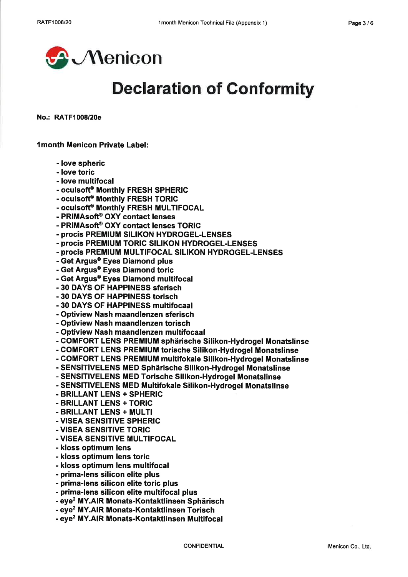

# **Declaration of Conformity**

No.: RATF1008/20e

**1month Menicon Private Label:** 

- love spheric
- love toric
- love multifocal
- oculsoft® Monthly FRESH SPHERIC
- oculsoft® Monthly FRESH TORIC
- oculsoft® Monthly FRESH MULTIFOCAL
- PRIMAsoft® OXY contact lenses
- PRIMAsoft® OXY contact lenses TORIC
- procîs PREMIUM SILIKON HYDROGEL-LENSES
- procîs PREMIUM TORIC SILIKON HYDROGEL-LENSES
- procîs PREMIUM MULTIFOCAL SILIKON HYDROGEL-LENSES
- Get Argus® Eyes Diamond plus
- Get Argus® Eyes Diamond toric
- Get Argus® Eves Diamond multifocal
- 30 DAYS OF HAPPINESS sferisch
- 30 DAYS OF HAPPINESS torisch
- 30 DAYS OF HAPPINESS multifocaal
- Optiview Nash maandlenzen sferisch
- Optiview Nash maandlenzen torisch
- Optiview Nash maandlenzen multifocaal
- COMFORT LENS PREMIUM sphärische Silikon-Hydrogel Monatslinse
- COMFORT LENS PREMIUM torische Silikon-Hydrogel Monatslinse
- COMFORT LENS PREMIUM multifokale Silikon-Hydrogel Monatslinse
- SENSITIVELENS MED Sphärische Silikon-Hydrogel Monatslinse
- SENSITIVELENS MED Torische Silikon-Hydrogel Monatslinse
- SENSITIVELENS MED Multifokale Silikon-Hydrogel Monatslinse
- BRILLANT LENS + SPHERIC
- BRILLANT LENS + TORIC
- BRILLANT LENS + MULTI
- VISEA SENSITIVE SPHERIC
- VISEA SENSITIVE TORIC
- VISEA SENSITIVE MULTIFOCAL
- kloss optimum lens
- kloss optimum lens toric
- kloss optimum lens multifocal
- prima-lens silicon elite plus
- prima-lens silicon elite toric plus
- prima-lens silicon elite multifocal plus
- eye<sup>2</sup> MY.AIR Monats-Kontaktlinsen Sphärisch
- eve<sup>2</sup> MY.AIR Monats-Kontaktlinsen Torisch
- eye<sup>2</sup> MY.AIR Monats-Kontaktlinsen Multifocal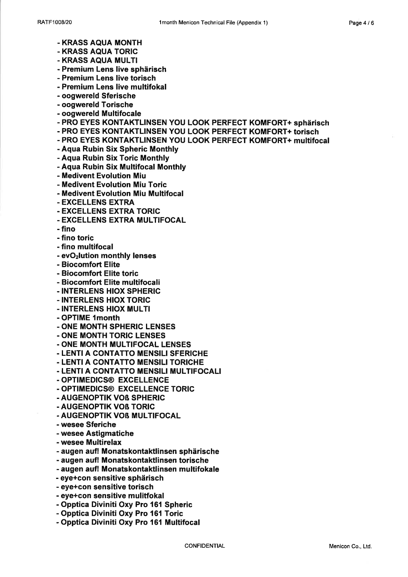- KRASS AQUA MONTH
- KRASS AQUA TORIC
- KRASS AQUA MULTI
- Premium Lens live sphärisch
- Premium Lens live torisch
- Premium Lens live multifokal
- oogwereld Sferische
- oogwereld Torische
- oogwereld Multifocale
- PRO EYES KONTAKTLINSEN YOU LOOK PERFECT KOMFORT+ sphärisch
- PRO EYES KONTAKTLINSEN YOU LOOK PERFECT KOMFORT+ torisch
- PRO EYES KONTAKTLINSEN YOU LOOK PERFECT KOMFORT+ multifocal
- Aqua Rubin Six Spheric Monthly
- Aqua Rubin Six Toric Monthly
- Aqua Rubin Six Multifocal Monthly
- Medivent Evolution Miu
- Medivent Evolution Miu Toric
- Medivent Evolution Miu Multifocal
- EXCELLENS EXTRA
- EXCELLENS EXTRA TORIC
- EXCELLENS EXTRA MULTIFOCAL
- fino
- fino toric
- fino multifocal
- evO<sub>2</sub>lution monthly lenses
- Biocomfort Elite
- Biocomfort Elite toric
- Biocomfort Elite multifocali
- INTERLENS HIOX SPHERIC
- INTERLENS HIOX TORIC
- INTERLENS HIOX MULTI
- OPTIME 1month
- ONE MONTH SPHERIC LENSES
- ONE MONTH TORIC LENSES
- ONE MONTH MULTIFOCAL LENSES
- LENTI A CONTATTO MENSILI SFERICHE
- LENTI A CONTATTO MENSILI TORICHE
- LENTI A CONTATTO MENSILI MULTIFOCALI
- OPTIMEDICS® EXCELLENCE
- OPTIMEDICS® EXCELLENCE TORIC
- AUGENOPTIK VOß SPHERIC
- AUGENOPTIK VOß TORIC
- AUGENOPTIK VOB MULTIFOCAL
- wesee Sferiche
- wesee Astigmatiche
- wesee Multirelax
- augen auf! Monatskontaktlinsen sphärische
- augen auf! Monatskontaktlinsen torische
- augen auf! Monatskontaktlinsen multifokale
- eye+con sensitive sphärisch
- eye+con sensitive torisch
- eye+con sensitive mulitfokal
- Opptica Diviniti Oxy Pro 161 Spheric
- Opptica Diviniti Oxy Pro 161 Toric
- Opptica Diviniti Oxy Pro 161 Multifocal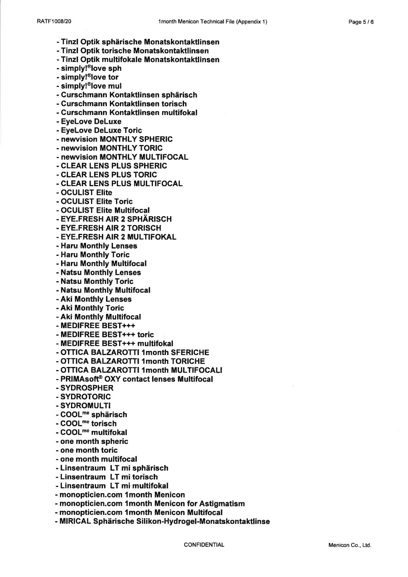- Tinzl Optik sphärische Monatskontaktlinsen
- Tinzl Optik torische Monatskontaktlinsen
- Tinzl Optik multifokale Monatskontaktlinsen
- simply!<sup>®</sup>love sph
- simply!<sup>®</sup>love tor
- simply!<sup>®</sup>love mul
- Curschmann Kontaktlinsen sphärisch
- Curschmann Kontaktlinsen torisch
- Curschmann Kontaktlinsen multifokal
- EyeLove DeLuxe
- EyeLove DeLuxe Toric
- newvision MONTHLY SPHERIC
- newvision MONTHLY TORIC
- newvision MONTHLY MULTIFOCAL
- CLEAR LENS PLUS SPHERIC
- CLEAR LENS PLUS TORIC
- CLEAR LENS PLUS MULTIFOCAL
- OCULIST Elite
- OCULIST Elite Toric
- OCULIST Elite Multifocal
- EYE.FRESH AIR 2 SPHÄRISCH
- EYE.FRESH AIR 2 TORISCH
- EYE.FRESH AIR 2 MULTIFOKAL
- Haru Monthly Lenses
- Haru Monthly Toric
- Haru Monthly Multifocal
- Natsu Monthly Lenses
- Natsu Monthly Toric
- Natsu Monthly Multifocal
- Aki Monthly Lenses
- Aki Monthly Toric
- Aki Monthly Multifocal
- MEDIFREE BEST+++
- MEDIFREE BEST+++ toric
- MEDIFREE BEST+++ multifokal
- OTTICA BALZAROTTI 1month SFERICHE
- OTTICA BALZAROTTI 1month TORICHE
- OTTICA BALZAROTTI 1month MULTIFOCALI
- PRIMAsoft® OXY contact lenses Multifocal
- SYDROSPHER
- SYDROTORIC
- SYDROMULTI
- COOL<sup>me</sup> sphärisch
- COOL<sup>me</sup> torisch
- COOL<sup>me</sup> multifokal
- one month spheric
- one month toric
- one month multifocal
- Linsentraum LT mi sphärisch
- Linsentraum LT mi torisch
- Linsentraum LT mi multifokal
- monopticien.com 1 month Menicon
- monopticien.com 1 month Menicon for Astigmatism
- monopticien.com 1 month Menicon Multifocal
- MIRICAL Sphärische Silikon-Hydrogel-Monatskontaktlinse